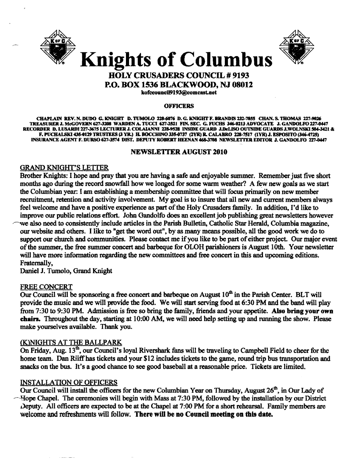



# **Knights of Columbus HOLY CRUSADERS COUNCIL # 9193**

**P.O. BOX 1536 BLACKWOOD, NJ 08012** 

kofccouncil9193@comcast.net

#### **OFFICERS**

CHAPLAIN REV. N. DUDO G. KNIGHT D. TUMOLO 228-6076 D. G. KNIGHT F. BRANDIS 232-7855 CHAN. S. THOMAS 227-9626 TREASURER J. McGOVERN 627-3208 WARDEN A. TUCCI 627-2521 FIN. SEC. G. FUCHS 346-0213 ADVOCATE J. GANDOLFO 227-0447 RECORDER D. LUSARDI 227-3675 LECTURER J. COŁAIANNI 228-9528 INSIDE GUARD J.DeLISO OUTSIDE GUARDS J.WOŁNSKI 504-3421 & F. PUCHALSKI 435-0129 TRUSTEES (3 YR.) H. BOCCHINO 335-0737 (2YR) R. CALABRO 228-7517 (1YR) J. ESPOSITO (346-4725) INSURANCE AGENT F. DURSO 627-3574 DIST. DEPUTY ROBERT HEENAN 468-3708 NEWSLETTER EDITOR J. GANDOLFO 227-0447

# **NEWSLETTER AUGUST 2010**

# **GRAND KNIGHT'S LETTER**

Brother Knights: I hope and pray that you are having a safe and enjoyable summer. Remember just five short months ago during the record snowfall how we longed for some warm weather? A few new goals as we start the Columbian year: I am establishing a membership committee that will focus primarily on new member recruitment, retention and activity involvement. My goal is to insure that all new and current members always feel welcome and have a positive experience as part of the Holy Crusaders family. In addition, I'd like to improve our public relations effort. John Gandolfo does an excellent job publishing great newsletters however we also need to consistently include articles in the Parish Bulletin, Catholic Star Herald, Columbia magazine, our website and others. I like to "get the word out", by as many means possible, all the good work we do to support our church and communities. Please contact me if you like to be part of either project. Our major event of the summer, the free summer concert and barbeque for OLOH parishioners is August 10th. Your newsletter will have more information regarding the new committees and free concert in this and upcoming editions. Fraternally,

Daniel J. Tumolo, Grand Knight

# **FREE CONCERT**

Our Council will be sponsoring a free concert and barbeque on August 10<sup>th</sup> in the Parish Center. BLT will provide the music and we will provide the food. We will start serving food at 6:30 PM and the band will play from 7:30 to 9:30 PM. Admission is free so bring the family, friends and your appetite. Also bring your own chairs. Throughout the day, starting at 10:00 AM, we will need help setting up and running the show. Please make yourselves available. Thank you.

# (K)NIGHTS AT THE BALLPARK

On Friday, Aug. 13<sup>th</sup>, our Council's loval Rivershark fans will be traveling to Campbell Field to cheer for the home team. Dan Riiff has tickets and your \$12 includes tickets to the game, round trip bus transportation and snacks on the bus. It's a good chance to see good baseball at a reasonable price. Tickets are limited.

# **INSTALLATION OF OFFICERS**

وبالسباء المتمردان

Our Council will install the officers for the new Columbian Year on Thursday, August  $26<sup>th</sup>$ , in Our Lady of - Hope Chapel. The ceremonies will begin with Mass at 7:30 PM, followed by the installation by our District Deputy. All officers are expected to be at the Chapel at 7:00 PM for a short rehearsal. Family members are welcome and refreshments will follow. There will be no Council meeting on this date.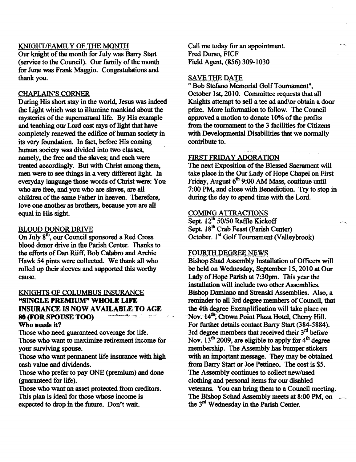# KNIGHT/FAMILY OF THE MONTH

Our knight of the month for July was Barry Start (service to the Council). Our family of the month for Iune was Frank Maggio. Congratulations and thank you.

#### CHAPLAIN'S CORNER

During His short stay in the world, Jesus was indeed the Light which was to illumine mankind about the mysteries of the supernatural life. By His example and teaching our Lord cast rays of light that have completely renewed the edifice of human society in its very foundation. In fact, before His coming human society was divided into two classes, namely, the free and the slaves; and each were treated accordingly. But with Christ among them, men were to see things in a very different light. In everyday language those words of Christ were: You who are free, and you who are slaves, are all children of the same Father in heaven. Therefore, love one another as brothers, because you are all equal in His sight

#### BLOOD DONOR DRIVE

On July  $8<sup>th</sup>$ , our Council sponsored a Red Cross blood donor drive in the Parish Center. Thanks to the efforts of Dan Riiff, Bob Calabro and Archie Hawk 54 pints were collected. We thank all who rolled up their sleeves and supported this worthy cause.

# KNIGHTS OF COLUMBUS INSURANCE "SINGLE PREMIUM" WHOLE LIFE INSURANCE IS NOW AVAILABLE TO AGE **80 (FOR SPOUSE TOO)** Who needs it?

Those who need guaranteed coverage for life. Those who want to maximize retirement income for your surviving spouse.

Those who want permanent life insurance with high cash value and dividends.

Those who prefer to pay ONE (premium) and done (guaranteed for life).

Those who want an asset protected from creditors. This plan is ideal for those whose income is expected to drop in the future. Don't wait.

Call me today for an appointment. Fred Durso, FICF Field Agent, (856) 309-1030

#### SAVE THE DATE

n Bob Stefano Memorial OolfToumament", October 1st, 2010. Committee requests that all Knights attempt to sell a tee ad and\or obtain a door prize. More Infonnation to follow. The Council approved a motion to donate 10% of the profits from the tournament to the 3 facilities for Citizens with Developmental Disabilities that we normally contribute to.

#### FIRST FRIDAY ADORATION

The next Exposition of the Blessed Sacrament will take place in the Our Lady of Hope Chapel on First Friday, August  $6<sup>th</sup>$  9:00 AM Mass, continue until 7:00 PM, and close with Benediction. Try to stop in during the day to spend time with the Lord.

#### **COMING ATTRACTIONS**

Sept. 12<sup>th</sup> 50/50 Raffle Kickoff Sept. 18<sup>th</sup> Crab Feast (Parish Center) October. 1<sup>st</sup> Golf Tournament (Valleybrook)

#### FOURTH DEGREE NEWS

Bishop Shad Assembly Installation of Officers will be held on Wednesday, September 15, 2010 at Our Lady of Hope Parish at 7:30pm. This year the installation will include two other Assemblies, Bishop Damiano and Strenski Assemblies. Also, a reminder to all 3rd degree members of Council, that the 4th degree Exemplification will take place on Nov. 14<sup>th</sup>; Crown Point Plaza Hotel, Cherry Hill. For further details contact Barry Start (384-5884). 3rd degree members that received their  $3<sup>rd</sup>$  before Nov.  $13^{th}$  2009, are eligible to apply for  $4^{th}$  degree membership. The Assembly has bumper stickers with an important message. They may be obtained from Barry Start or Joe Pettineo. The cost is \$5. The Assembly continues to collect new/used clothing and personal items for our disabled veterans. You can bring them to a Council meeting. The Bishop Schad Assembly meets at 8:00 PM, on the 3rd Wednesday in the Parish Center.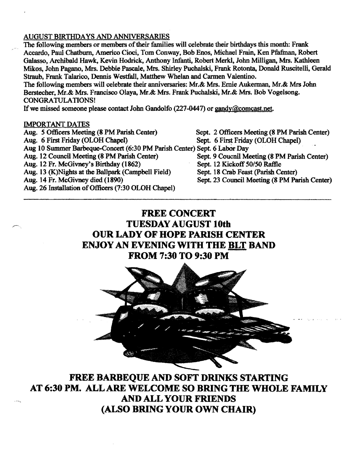# AUGUST BIRTHDAYS AND ANNIVERSARIES

The following members or members of their families will celebrate their birthdays this month: Frank Accardo, Paul Chatburn, Americo Cioci, Tom Conway, Bob Enos, Michael Frain, Ken Pfafman, Robert Galasso, Archibald Hawk, Kevin Hodrick, Anthony Infanti, Robert Merkl, 10hn Milligan, Mrs. Kathleen Mikos, John Pagano, Mrs. Debbie Pascale, Mrs. Shirley Puchalski, Frank Rotonta, Donald Ruscitelli, Gerald Straub, Frank Talarico, Dennis Westfall, Matthew Whelan and Carmen Valentino.

The following members will celebrate their anniversaries: Mr.& Mrs. Ernie Aukerman, Mr.& Mrs John Berstecher, Mr.& Mrs. Francisco Olaya, Mr.& Mrs. Frank Puchalski, Mr.& Mrs. Bob Vogelsong. CONGRATULATIONS!

If we missed someone please contact John Gandolfo (227-0447) or gandy@comcast.net.

#### IMPORTANT DATES

Aug. 5 Officers Meeting (8 PM Parish Center) Sept. 2 Officers Meeting (8 PM Parish Center)<br>Aug. 6 First Friday (OLOH Chapel) Sept. 6 First Friday (OLOH Chapel) Sept. 6 First Friday (OLOH Chapel) Aug 10 Summer Barbeque-Concert (6:30 PM Parish Center) Sept. 6 Labor Day Sept. 9 Coucnil Meeting (8 PM Parish Center) Aug. 12 Fr. McGivney's Birthday (1862) Sept. 12 Kickoff 50/50 Raffle Aug. 13 (K)Nights at the Ballpark (Campbell Field) Sept. 18 Crab Feast (Parish Center) Aug. 14 Fr. McGivney died (1890) Sept. 23 Council Meeting (8 PM Parish Center) Aug. 26 Installation of Officers (7:30 OLOH Chapel)

# **FREE CONCERT TUESDAY AUGUST 10th OUR LADY OF HOPE PARISH CENTER ENJOY AN EVENING WITH THE BLT BAND FROM 7:30 TO 9:30 PM**



**FREE BARBEQUE AND SOFT DRINKS STARTING AT 6:30 PM.** ALL ARE **WELCOME SO BRING THE WHOLE FAMILY** AND **ALL YOUR FRIENDS (ALSO BRING YOUR OWN CHAIR)**